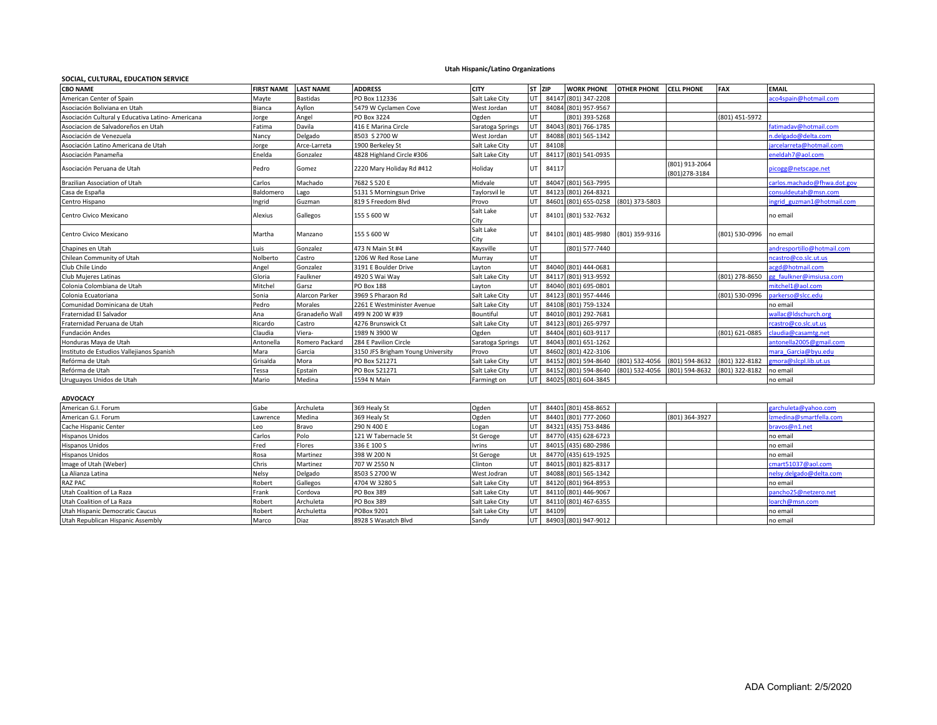## **Utah Hispanic/Latino Organizations**

## **SOCIAL, CULTURAL, EDUCATION SERVICE**

| <b>CBO NAME</b>                                   | FIRST NAME LAST NAME |                 | <b>ADDRESS</b>                    | <b>CITY</b>       | ST ZIP |       |                                     | WORK PHONE OTHER PHONE CELL PHONE |                                 | <b>FAX</b>     | <b>EMAIL</b>                |
|---------------------------------------------------|----------------------|-----------------|-----------------------------------|-------------------|--------|-------|-------------------------------------|-----------------------------------|---------------------------------|----------------|-----------------------------|
| American Center of Spain                          | Mayte                | <b>Bastidas</b> | PO Box 112336                     | Salt Lake City    | UT     | 84147 | (801) 347-2208                      |                                   |                                 |                | aco4spain@hotmail.com       |
| Asociación Boliviana en Utah                      | Bianca               | Ayllon          | 5479 W Cyclamen Cove              | West Jordan       | UT     | 84084 | (801) 957-9567                      |                                   |                                 |                |                             |
| Asociación Cultural y Educativa Latino- Americana | Jorge                | Angel           | PO Box 3224                       | Ogden             | UT     |       | (801) 393-5268                      |                                   |                                 | (801) 451-5972 |                             |
| Asociacion de Salvadoreños en Utah                | Fatima               | Davila          | 416 E Marina Circle               | Saratoga Springs  | UT     | 84043 | (801) 766-1785                      |                                   |                                 |                | fatimadav@hotmail.com       |
| Asociación de Venezuela                           | Nancy                | Delgado         | 8503 S 2700 W                     | West Jordan       | UT     | 84088 | (801) 565-1342                      |                                   |                                 |                | n.delgado@delta.com         |
| Asociación Latino Americana de Utah               | Jorge                | Arce-Larreta    | 1900 Berkeley St                  | Salt Lake City    | UT     | 84108 |                                     |                                   |                                 |                | jarcelarreta@hotmail.com    |
| Asociación Panameña                               | Enelda               | Gonzalez        | 4828 Highland Circle #306         | Salt Lake City    | UT     | 84117 | (801) 541-0935                      |                                   |                                 |                | eneldah7@aol.com            |
| Asociación Peruana de Utah                        | Pedro                | Gomez           | 2220 Mary Holiday Rd #412         | Holiday           | UT     | 84117 |                                     |                                   | (801) 913-2064<br>(801)278-3184 |                | picogg@netscape.net         |
| Brazilian Association of Utah                     | Carlos               | Machado         | 7682 S 520 E                      | Midvale           | UT     | 84047 | (801) 563-7995                      |                                   |                                 |                | carlos.machado@fhwa.dot.gov |
| Casa de España                                    | Baldomero            | Lago            | 5131 S Morningsun Drive           | Taylorsvil le     | UT     | 84123 | (801) 264-8321                      |                                   |                                 |                | consuldeutah@msn.com        |
| Centro Hispano                                    | Ingrid               | Guzman          | 819 S Freedom Blvd                | Provo             | UT     |       | 84601 (801) 655-0258 (801) 373-5803 |                                   |                                 |                | ingrid guzman1@hotmail.com  |
| Centro Civico Mexicano                            | Alexius              | Gallegos        | 155 S 600 W                       | Salt Lake<br>City | UT     |       | 84101 (801) 532-7632                |                                   |                                 |                | no email                    |
| Centro Civico Mexicano                            | Martha               | Manzano         | 155 S 600 W                       | Salt Lake<br>City | UT     |       | 84101 (801) 485-9980 (801) 359-9316 |                                   |                                 | (801) 530-0996 | no email                    |
| Chapines en Utah                                  | Luis                 | Gonzalez        | 473 N Main St #4                  | Kaysville         | UT     |       | (801) 577-7440                      |                                   |                                 |                | andresportillo@hotmail.com  |
| Chilean Community of Utah                         | Nolberto             | Castro          | 1206 W Red Rose Lane              | Murray            | UT     |       |                                     |                                   |                                 |                | ncastro@co.slc.ut.us        |
| Club Chile Lindo                                  | Angel                | Gonzalez        | 3191 E Boulder Drive              | Layton            | UT     |       | 84040 (801) 444-0681                |                                   |                                 |                | acgd@hotmail.com            |
| <b>Club Mujeres Latinas</b>                       | Gloria               | Faulkner        | 4920 S Wai Way                    | Salt Lake City    | UT     | 84117 | (801) 913-9592                      |                                   |                                 | (801) 278-8650 | gg faulkner@imsiusa.com     |
| Colonia Colombiana de Utah                        | Mitchel              | Garsz           | PO Box 188                        | Layton            | UT     | 84040 | (801) 695-0801                      |                                   |                                 |                | mitchel1@aol.com            |
| Colonia Ecuatoriana                               | Sonia                | Alarcon Parker  | 3969 S Pharaon Rd                 | Salt Lake City    | UT     | 84123 | (801) 957-4446                      |                                   |                                 | (801) 530-0996 | parkerso@slcc.edu           |
| Comunidad Dominicana de Utah                      | Pedro                | Morales         | 2261 E Westminister Avenue        | Salt Lake City    | UT     | 84108 | (801) 759-1324                      |                                   |                                 |                | no email                    |
| Fraternidad El Salvador                           | Ana                  | Granadeño Wall  | 499 N 200 W #39                   | Bountiful         | UT     | 84010 | (801) 292-7681                      |                                   |                                 |                | wallac@ldschurch.org        |
| Fraternidad Peruana de Utah                       | Ricardo              | Castro          | 4276 Brunswick Ct                 | Salt Lake City    | UT     | 84123 | (801) 265-9797                      |                                   |                                 |                | rcastro@co.slc.ut.us        |
| Fundación Andes                                   | Claudia              | Viera-          | 1989 N 3900 W                     | Ogden             | UT     | 84404 | (801) 603-9117                      |                                   |                                 | (801) 621-0885 | claudia@casamtg.net         |
| Honduras Maya de Utah                             | Antonella            | Romero Packard  | 284 E Pavilion Circle             | Saratoga Springs  | UT     | 84043 | (801) 651-1262                      |                                   |                                 |                | antonella2005@gmail.com     |
| Instituto de Estudios Vallejianos Spanish         | Mara                 | Garcia          | 3150 JFS Brigham Young University | Provo             | UT     | 84602 | (801) 422-3106                      |                                   |                                 |                | mara Garcia@byu.edu         |
| Refórma de Utah                                   | Grisalda             | Mora            | PO Box 521271                     | Salt Lake City    | UT     | 84152 | (801) 594-8640                      | (801) 532-4056                    | (801) 594-8632                  | (801) 322-8182 | gmora@slcpl.lib.ut.us       |
| Refórma de Utah                                   | Tessa                | Epstain         | PO Box 521271                     | Salt Lake City    | UT     | 84152 | (801) 594-8640                      | (801) 532-4056                    | (801) 594-8632                  | (801) 322-8182 | no email                    |
| Uruguayos Unidos de Utah                          | Mario                | Medina          | 1594 N Main                       | Farmingt on       | UT     | 84025 | (801) 604-3845                      |                                   |                                 |                | no email                    |
|                                                   |                      |                 |                                   |                   |        |       |                                     |                                   |                                 |                |                             |
| ADVOCACY                                          |                      |                 |                                   |                   |        |       |                                     |                                   |                                 |                |                             |
| American G.I. Forum                               | Gabe                 | Archuleta       | 369 Healy St                      | Ogden             | UT.    |       | 84401 (801) 458-8652                |                                   |                                 |                | garchuleta@yahoo.com        |
| American G.I. Forum                               | Lawrence             | Medina          | 369 Healy St                      | Ogden             | UT     | 84401 | (801) 777-2060                      |                                   | 801) 364-3927                   |                | Izmedina@smartfella.com     |
| Cache Hispanic Center                             | Leo                  | Bravo           | 290 N 400 E                       | Logan             | UT     | 84321 | (435) 753-8486                      |                                   |                                 |                | bravos@n1.net               |
| <b>Hispanos Unidos</b>                            | Carlos               | Polo            | 121 W Tabernacle St               | St Geroge         | UT     |       | 84770 (435) 628-6723                |                                   |                                 |                | no email                    |
| <b>Hispanos Unidos</b>                            | Fred                 | Flores          | 336 E 100 S                       | <b>Ivrins</b>     | UT     |       | 84015 (435) 680-2986                |                                   |                                 |                | no email                    |
| <b>Hispanos Unidos</b>                            | Rosa                 | Martinez        | 398 W 200 N                       | <b>St Geroge</b>  | Ut     |       | 84770 (435) 619-1925                |                                   |                                 |                | no email                    |
| Image of Utah (Weber)                             | Chris                | Martinez        | 707 W 2550 N                      | Clinton           | UT     | 84015 | (801) 825-8317                      |                                   |                                 |                | cmart51037@aol.com          |
| La Alianza Latina                                 | Nelsy                | Delgado         | 8503 S 2700 W                     | West Jodran       | UT     |       | 84088 (801) 565-1342                |                                   |                                 |                | nelsy.delgado@delta.com     |

La Alianza Latina Nelsy Delgado (Belgado 8503 S 2700 W West Jodran UT | 84088 (801) 565-1342 | Nelsy.delgado@delta.com | Intersy.delgado@delta.com | Intersy.delgado@delta.com

Utah Coalition of La Raza Frank Cordova PO Box 389 Salt Lake City UT 84110 (801) 446-9067 Pancho25@netzero.net

RAZ PAC CONTROLLEGOS ROBERT Gallegos 4704 W 3280 S Salt Lake City UT 84120 (801) 964-8953 November 1 2010 10 email

Utah Coalition of La Raza **Robert Archuleta PO Box 389 Salt Lake City** UT 84110 (801) 467-6355 Noambert Caucus Coarch Coarch Box 10 and Robert Archuletta POBox 9201 Salt Lake City UT 84109 No Loarch Coarch Coarch Coarch Co Utah Hispanic Democratic Caucus **Robert Archuletta POBox 9201** Salt Lake City UT 84109 No email no email no email<br>Utah Republican Hispanic Assembly No email Marco Diaz 8928 S Wasatch Blvd Sandy UT 84903 (801) 947-9012 1999 Utah Republican Hispanic Assembly **Marco** Diaz 8928 S Wasatch Blvd Sandy UT 84903 (801) 947-9012 no email